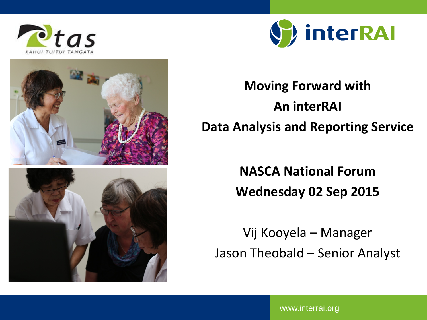





**Moving Forward with An interRAI Data Analysis and Reporting Service**

> **NASCA National Forum Wednesday 02 Sep 2015**

Vij Kooyela – Manager Jason Theobald – Senior Analyst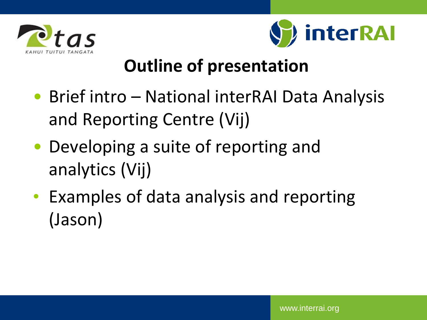



### **Outline of presentation**

- Brief intro National interRAI Data Analysis and Reporting Centre (Vij)
- Developing a suite of reporting and analytics (Vij)
- Examples of data analysis and reporting (Jason)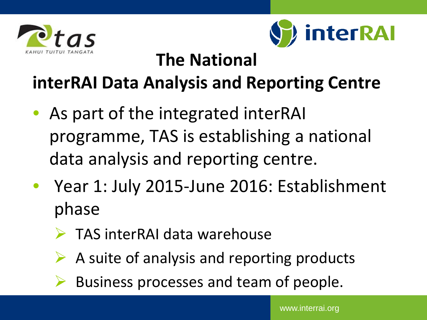



### **The National**

### **interRAI Data Analysis and Reporting Centre**

- As part of the integrated interRAI programme, TAS is establishing a national data analysis and reporting centre.
- Year 1: July 2015-June 2016: Establishment phase
	- TAS interRAI data warehouse
	- A suite of analysis and reporting products
	- Business processes and team of people.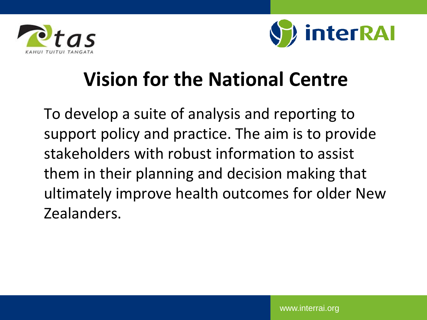



## **Vision for the National Centre**

To develop a suite of analysis and reporting to support policy and practice. The aim is to provide stakeholders with robust information to assist them in their planning and decision making that ultimately improve health outcomes for older New Zealanders.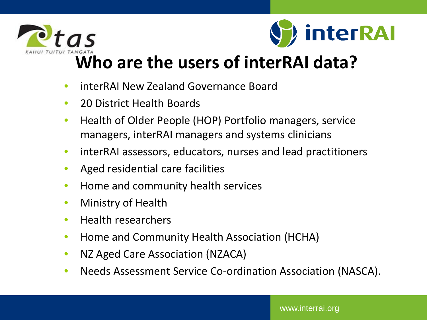



### **[Who](https://intranet.centraltas.co.nz/) are the users of interRAI data?**

- interRAI New Zealand Governance Board
- 20 District Health Boards
- Health of Older People (HOP) Portfolio managers, service managers, interRAI managers and systems clinicians
- interRAI assessors, educators, nurses and lead practitioners
- Aged residential care facilities
- Home and community health services
- Ministry of Health
- Health researchers
- Home and Community Health Association (HCHA)
- NZ Aged Care Association (NZACA)
- Needs Assessment Service Co-ordination Association (NASCA).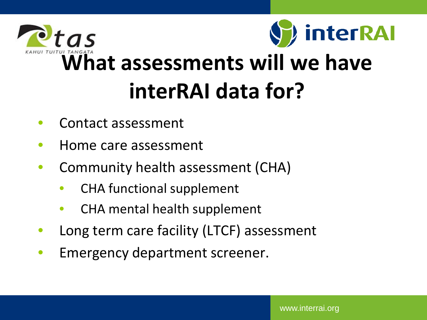



# **[Wha](https://intranet.centraltas.co.nz/)t assessments will we have interRAI data for?**

- Contact assessment
- Home care assessment
- Community health assessment (CHA)
	- CHA functional supplement
	- CHA mental health supplement
- Long term care facility (LTCF) assessment
- Emergency department screener.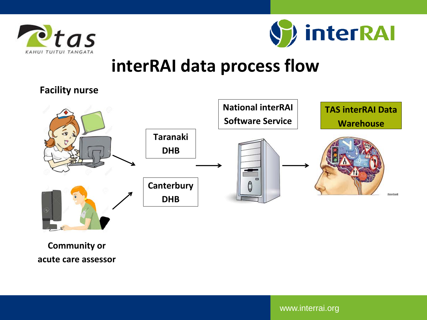



### **interRAI data process flow**

#### **Facility nurse**



**Community or acute care assessor**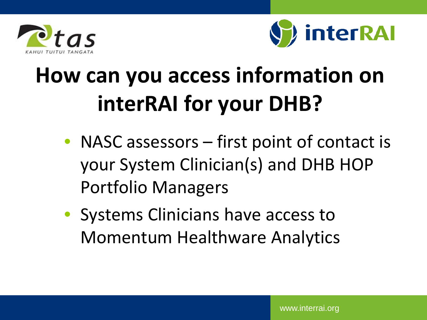



# **How can you access information on interRAI for your DHB?**

- NASC assessors first point of contact is your System Clinician(s) and DHB HOP Portfolio Managers
- Systems Clinicians have access to Momentum Healthware Analytics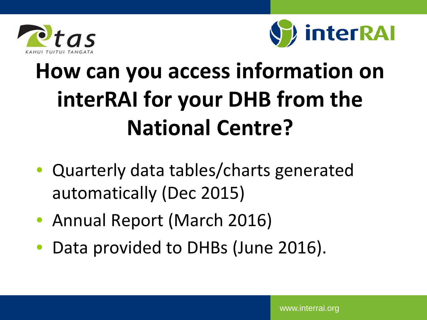



# **How can you access information on interRAI for your DHB from the National Centre?**

- Quarterly data tables/charts generated automatically (Dec 2015)
- Annual Report (March 2016)
- Data provided to DHBs (June 2016).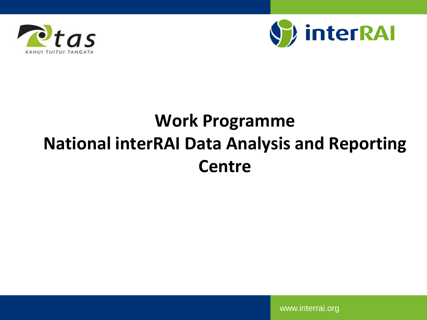



### **Work Programme National interRAI Data Analysis and Reporting Centre**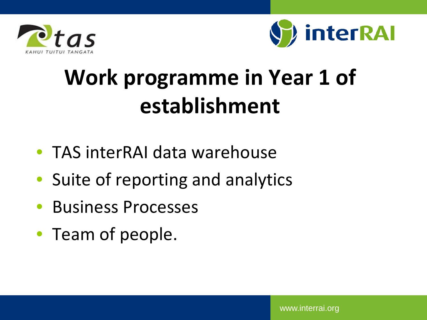



## **Work programme in Year 1 of establishment**

- TAS interRAI data warehouse
- Suite of reporting and analytics
- Business Processes
- Team of people.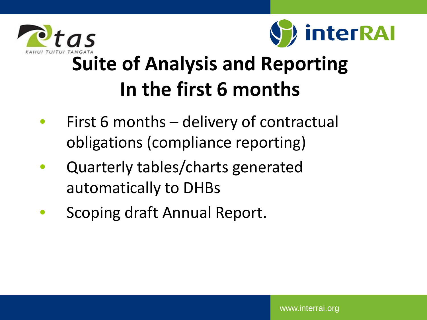



## **[Suit](https://intranet.centraltas.co.nz/)e of Analysis and Reporting In the first 6 months**

- First 6 months delivery of contractual obligations (compliance reporting)
- Quarterly tables/charts generated automatically to DHBs
- Scoping draft Annual Report.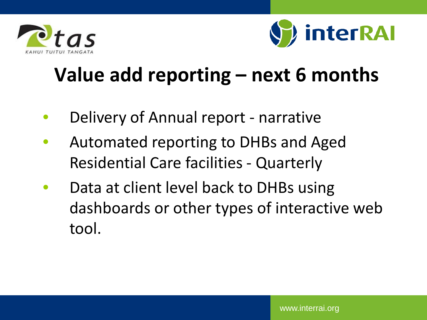



## **Value add reporting – next 6 months**

- Delivery of Annual report narrative
- Automated reporting to DHBs and Aged Residential Care facilities - Quarterly
- Data at client level back to DHBs using dashboards or other types of interactive web tool.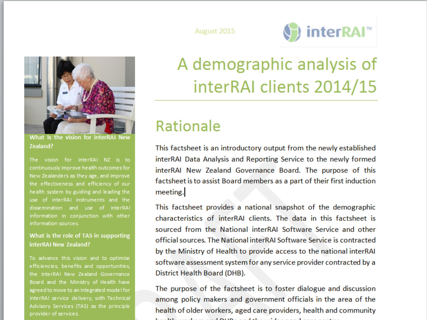



What is the vision for interRAI Zealand?

The vision for interRAI NZ is to continuously improve health outcomes for New Zealanders as they age, and improve the effectiveness and efficiency of our health system by guiding and leading the use of interRAI instruments and the dissemination and use of interRAI information in conjunction with other information sources.

#### What is the role of TAS in supporting interRAI New Zealand?

To advance this vision and to optimise efficiencies, benefits and opportunities, the interRAI New Zealand Governance Board and the Ministry of Health have agreed to move to an integrated model for interRAI service delivery, with Technical Advisory Services (TAS) as the principle provider of services.

### A demographic analysis of interRAI clients 2014/15

### **Rationale**

This factsheet is an introductory output from the newly established interRAI Data Analysis and Reporting Service to the newly formed interRAI New Zealand Governance Board. The purpose of this factsheet is to assist Board members as a part of their first induction meeting.

This factsheet provides a national snapshot of the demographic characteristics of interRAI clients. The data in this factsheet is sourced from the National interRAI Software Service and other official sources. The National interRAI Software Service is contracted by the Ministry of Health to provide access to the national interRAI software assessment system for any service provider contracted by a District Health Board (DHB).

The purpose of the factsheet is to foster dialogue and discussion among policy makers and government officials in the area of the health of older workers, aged care providers, health and community **Contract Community Contract Contract Contract Contract Contract Contract Contract Contract Contract Contract Contract Contract Contract Contract Contract Contract Contract Contract Contract Contract Contract Contract Cont**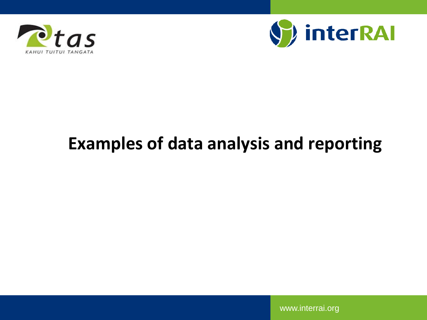



### **Examples of data analysis and reporting**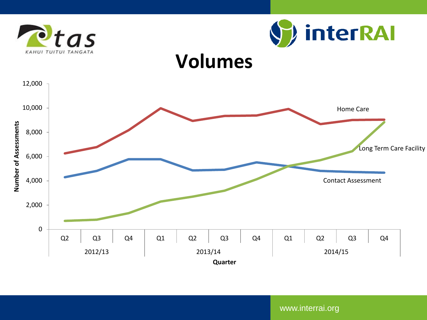



### **Volumes**

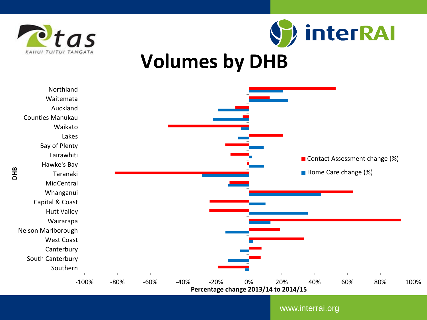



### **Volumes by DHB**

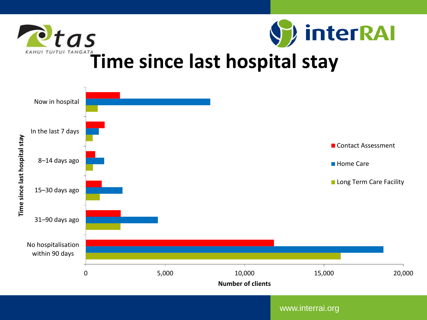



### **[Ti](https://intranet.centraltas.co.nz/)me since last hospital stay**

![](_page_17_Figure_3.jpeg)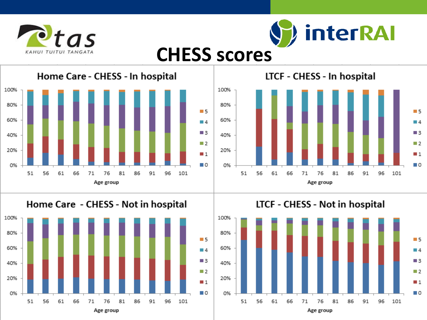![](_page_18_Picture_0.jpeg)

![](_page_18_Picture_1.jpeg)

### **CHESS scores**

Home Care - CHESS - In hospital 100% 80%  $\blacksquare$  5 60%  $\blacksquare$  4  $\blacksquare$  3 40%  $\blacksquare$  2 20%  $\blacksquare$  1 0%  $\blacksquare$  0 51 56 61 66 71 76 81 86 91 96 101 Age group

![](_page_18_Figure_4.jpeg)

LTCF - CHESS - In hospital

![](_page_18_Figure_6.jpeg)

![](_page_18_Figure_7.jpeg)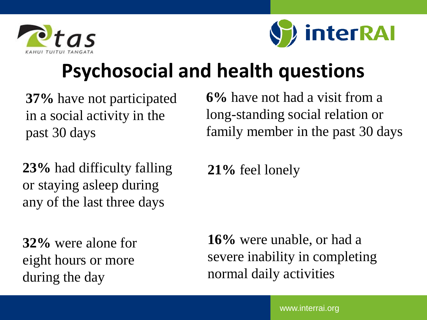![](_page_19_Picture_0.jpeg)

![](_page_19_Picture_1.jpeg)

## **Psychosocial and health questions**

**37%** have not participated in a social activity in the past 30 days

**23%** had difficulty falling or staying asleep during any of the last three days

**32%** were alone for eight hours or more during the day

**6%** have not had a visit from a long-standing social relation or family member in the past 30 days

**21%** feel lonely

**16%** were unable, or had a severe inability in completing normal daily activities